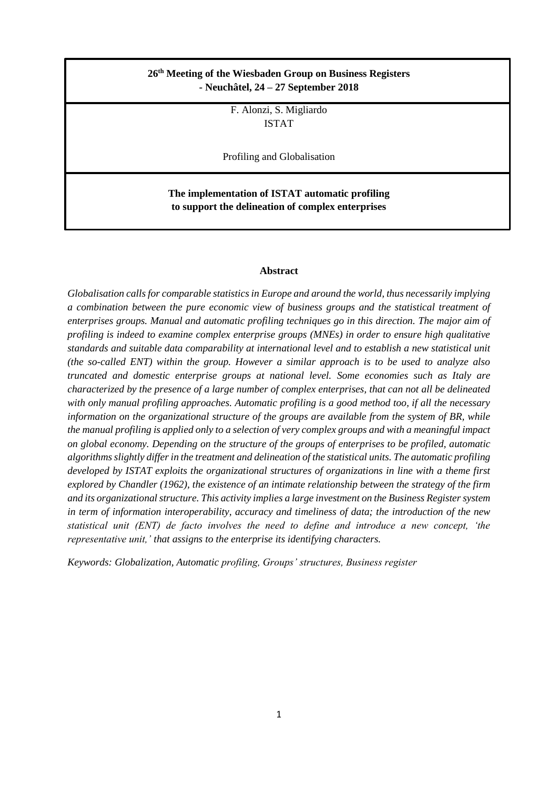# **26 th Meeting of the Wiesbaden Group on Business Registers - Neuchâtel, 24 – 27 September 2018**

F. Alonzi, S. Migliardo ISTAT

Profiling and Globalisation

**The implementation of ISTAT automatic profiling to support the delineation of complex enterprises** 

#### **Abstract**

*Globalisation calls for comparable statistics in Europe and around the world, thus necessarily implying a combination between the pure economic view of business groups and the statistical treatment of enterprises groups. Manual and automatic profiling techniques go in this direction. The major aim of profiling is indeed to examine complex enterprise groups (MNEs) in order to ensure high qualitative standards and suitable data comparability at international level and to establish a new statistical unit (the so-called ENT) within the group. However a similar approach is to be used to analyze also truncated and domestic enterprise groups at national level. Some economies such as Italy are characterized by the presence of a large number of complex enterprises, that can not all be delineated with only manual profiling approaches. Automatic profiling is a good method too, if all the necessary information on the organizational structure of the groups are available from the system of BR, while the manual profiling is applied only to a selection of very complex groups and with a meaningful impact on global economy. Depending on the structure of the groups of enterprises to be profiled, automatic algorithms slightly differ in the treatment and delineation of the statistical units. The automatic profiling developed by ISTAT exploits the organizational structures of organizations in line with a theme first explored by Chandler (1962), the existence of an intimate relationship between the strategy of the firm and its organizational structure. This activity implies a large investment on the Business Register system in term of information interoperability, accuracy and timeliness of data; the introduction of the new statistical unit (ENT) de facto involves the need to define and introduce a new concept, 'the representative unit,' that assigns to the enterprise its identifying characters.*

*Keywords: Globalization, Automatic profiling, Groups' structures, Business register*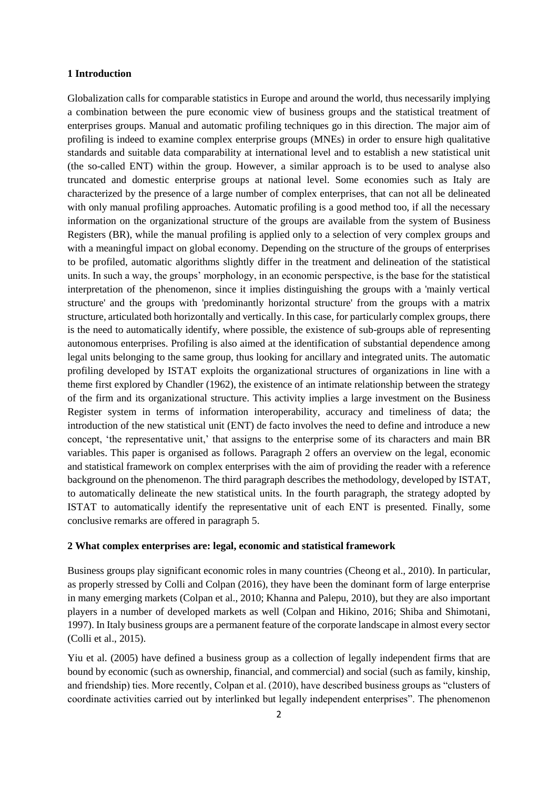### **1 Introduction**

Globalization calls for comparable statistics in Europe and around the world, thus necessarily implying a combination between the pure economic view of business groups and the statistical treatment of enterprises groups. Manual and automatic profiling techniques go in this direction. The major aim of profiling is indeed to examine complex enterprise groups (MNEs) in order to ensure high qualitative standards and suitable data comparability at international level and to establish a new statistical unit (the so-called ENT) within the group. However, a similar approach is to be used to analyse also truncated and domestic enterprise groups at national level. Some economies such as Italy are characterized by the presence of a large number of complex enterprises, that can not all be delineated with only manual profiling approaches. Automatic profiling is a good method too, if all the necessary information on the organizational structure of the groups are available from the system of Business Registers (BR), while the manual profiling is applied only to a selection of very complex groups and with a meaningful impact on global economy. Depending on the structure of the groups of enterprises to be profiled, automatic algorithms slightly differ in the treatment and delineation of the statistical units. In such a way, the groups' morphology, in an economic perspective, is the base for the statistical interpretation of the phenomenon, since it implies distinguishing the groups with a 'mainly vertical structure' and the groups with 'predominantly horizontal structure' from the groups with a matrix structure, articulated both horizontally and vertically. In this case, for particularly complex groups, there is the need to automatically identify, where possible, the existence of sub-groups able of representing autonomous enterprises. Profiling is also aimed at the identification of substantial dependence among legal units belonging to the same group, thus looking for ancillary and integrated units. The automatic profiling developed by ISTAT exploits the organizational structures of organizations in line with a theme first explored by Chandler (1962), the existence of an intimate relationship between the strategy of the firm and its organizational structure. This activity implies a large investment on the Business Register system in terms of information interoperability, accuracy and timeliness of data; the introduction of the new statistical unit (ENT) de facto involves the need to define and introduce a new concept, 'the representative unit,' that assigns to the enterprise some of its characters and main BR variables. This paper is organised as follows. Paragraph 2 offers an overview on the legal, economic and statistical framework on complex enterprises with the aim of providing the reader with a reference background on the phenomenon. The third paragraph describes the methodology, developed by ISTAT, to automatically delineate the new statistical units. In the fourth paragraph, the strategy adopted by ISTAT to automatically identify the representative unit of each ENT is presented. Finally, some conclusive remarks are offered in paragraph 5.

### **2 What complex enterprises are: legal, economic and statistical framework**

Business groups play significant economic roles in many countries (Cheong et al., 2010). In particular, as properly stressed by Colli and Colpan (2016), they have been the dominant form of large enterprise in many emerging markets (Colpan et al., 2010; Khanna and Palepu, 2010), but they are also important players in a number of developed markets as well (Colpan and Hikino, 2016; Shiba and Shimotani, 1997). In Italy business groups are a permanent feature of the corporate landscape in almost every sector (Colli et al., 2015).

Yiu et al. (2005) have defined a business group as a collection of legally independent firms that are bound by economic (such as ownership, financial, and commercial) and social (such as family, kinship, and friendship) ties. More recently, Colpan et al. (2010), have described business groups as "clusters of coordinate activities carried out by interlinked but legally independent enterprises". The phenomenon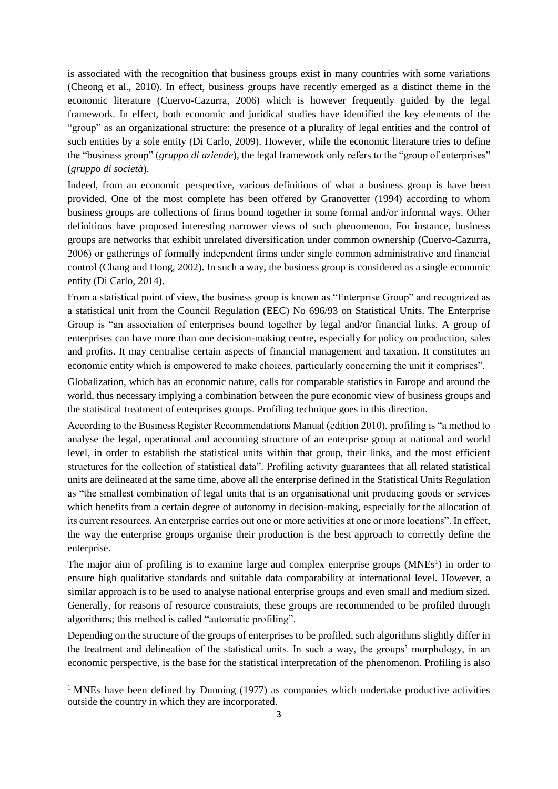is associated with the recognition that business groups exist in many countries with some variations (Cheong et al., 2010). In effect, business groups have recently emerged as a distinct theme in the economic literature (Cuervo-Cazurra, 2006) which is however frequently guided by the legal framework. In effect, both economic and juridical studies have identified the key elements of the "group" as an organizational structure: the presence of a plurality of legal entities and the control of such entities by a sole entity (Di Carlo, 2009). However, while the economic literature tries to define the "business group" (*gruppo di aziende*), the legal framework only refers to the "group of enterprises" (*gruppo di società*).

Indeed, from an economic perspective, various definitions of what a business group is have been provided. One of the most complete has been offered by Granovetter (1994) according to whom business groups are collections of firms bound together in some formal and/or informal ways. Other definitions have proposed interesting narrower views of such phenomenon. For instance, business groups are networks that exhibit unrelated diversification under common ownership (Cuervo-Cazurra, 2006) or gatherings of formally independent firms under single common administrative and financial control (Chang and Hong, 2002). In such a way, the business group is considered as a single economic entity (Di Carlo, 2014).

From a statistical point of view, the business group is known as "Enterprise Group" and recognized as a statistical unit from the Council Regulation (EEC) No 696/93 on Statistical Units. The Enterprise Group is "an association of enterprises bound together by legal and/or financial links. A group of enterprises can have more than one decision-making centre, especially for policy on production, sales and profits. It may centralise certain aspects of financial management and taxation. It constitutes an economic entity which is empowered to make choices, particularly concerning the unit it comprises".

Globalization, which has an economic nature, calls for comparable statistics in Europe and around the world, thus necessary implying a combination between the pure economic view of business groups and the statistical treatment of enterprises groups. Profiling technique goes in this direction.

According to the Business Register Recommendations Manual (edition 2010), profiling is "a method to analyse the legal, operational and accounting structure of an enterprise group at national and world level, in order to establish the statistical units within that group, their links, and the most efficient structures for the collection of statistical data". Profiling activity guarantees that all related statistical units are delineated at the same time, above all the enterprise defined in the Statistical Units Regulation as "the smallest combination of legal units that is an organisational unit producing goods or services which benefits from a certain degree of autonomy in decision-making, especially for the allocation of its current resources. An enterprise carries out one or more activities at one or more locations". In effect, the way the enterprise groups organise their production is the best approach to correctly define the enterprise.

The major aim of profiling is to examine large and complex enterprise groups  $(MNEs<sup>1</sup>)$  in order to ensure high qualitative standards and suitable data comparability at international level. However, a similar approach is to be used to analyse national enterprise groups and even small and medium sized. Generally, for reasons of resource constraints, these groups are recommended to be profiled through algorithms; this method is called "automatic profiling".

Depending on the structure of the groups of enterprises to be profiled, such algorithms slightly differ in the treatment and delineation of the statistical units. In such a way, the groups' morphology, in an economic perspective, is the base for the statistical interpretation of the phenomenon. Profiling is also

-

<sup>&</sup>lt;sup>1</sup> MNEs have been defined by Dunning (1977) as companies which undertake productive activities outside the country in which they are incorporated.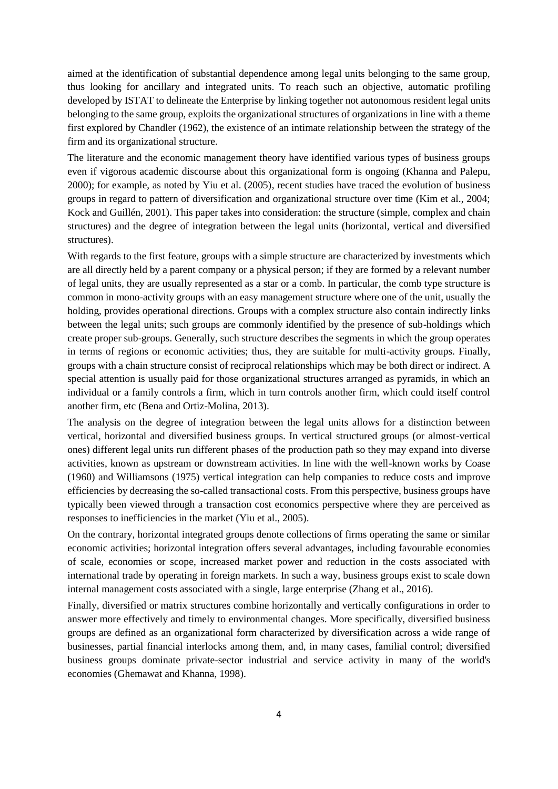aimed at the identification of substantial dependence among legal units belonging to the same group, thus looking for ancillary and integrated units. To reach such an objective, automatic profiling developed by ISTAT to delineate the Enterprise by linking together not autonomous resident legal units belonging to the same group, exploits the organizational structures of organizations in line with a theme first explored by Chandler (1962), the existence of an intimate relationship between the strategy of the firm and its organizational structure.

The literature and the economic management theory have identified various types of business groups even if vigorous academic discourse about this organizational form is ongoing (Khanna and Palepu, 2000); for example, as noted by Yiu et al. (2005), recent studies have traced the evolution of business groups in regard to pattern of diversification and organizational structure over time (Kim et al., 2004; Kock and Guillén, 2001). This paper takes into consideration: the structure (simple, complex and chain structures) and the degree of integration between the legal units (horizontal, vertical and diversified structures).

With regards to the first feature, groups with a simple structure are characterized by investments which are all directly held by a parent company or a physical person; if they are formed by a relevant number of legal units, they are usually represented as a star or a comb. In particular, the comb type structure is common in mono-activity groups with an easy management structure where one of the unit, usually the holding, provides operational directions. Groups with a complex structure also contain indirectly links between the legal units; such groups are commonly identified by the presence of sub-holdings which create proper sub-groups. Generally, such structure describes the segments in which the group operates in terms of regions or economic activities; thus, they are suitable for multi-activity groups. Finally, groups with a chain structure consist of reciprocal relationships which may be both direct or indirect. A special attention is usually paid for those organizational structures arranged as pyramids, in which an individual or a family controls a firm, which in turn controls another firm, which could itself control another firm, etc (Bena and Ortiz-Molina, 2013).

The analysis on the degree of integration between the legal units allows for a distinction between vertical, horizontal and diversified business groups. In vertical structured groups (or almost-vertical ones) different legal units run different phases of the production path so they may expand into diverse activities, known as upstream or downstream activities. In line with the well-known works by Coase (1960) and Williamsons (1975) vertical integration can help companies to reduce costs and improve efficiencies by decreasing the so-called transactional costs. From this perspective, business groups have typically been viewed through a transaction cost economics perspective where they are perceived as responses to inefficiencies in the market (Yiu et al., 2005).

On the contrary, horizontal integrated groups denote collections of firms operating the same or similar economic activities; horizontal integration offers several advantages, including favourable economies of scale, economies or scope, increased market power and reduction in the costs associated with international trade by operating in foreign markets. In such a way, business groups exist to scale down internal management costs associated with a single, large enterprise (Zhang et al., 2016).

Finally, diversified or matrix structures combine horizontally and vertically configurations in order to answer more effectively and timely to environmental changes. More specifically, diversified business groups are defined as an organizational form characterized by diversification across a wide range of businesses, partial financial interlocks among them, and, in many cases, familial control; diversified business groups dominate private-sector industrial and service activity in many of the world's economies (Ghemawat and Khanna, 1998).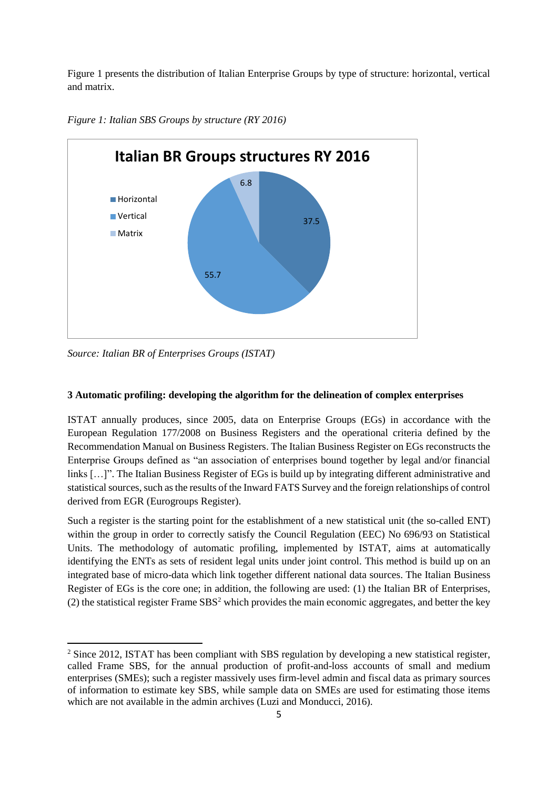Figure 1 presents the distribution of Italian Enterprise Groups by type of structure: horizontal, vertical and matrix.



*Figure 1: Italian SBS Groups by structure (RY 2016)*

*Source: Italian BR of Enterprises Groups (ISTAT)*

1

## **3 Automatic profiling: developing the algorithm for the delineation of complex enterprises**

ISTAT annually produces, since 2005, data on Enterprise Groups (EGs) in accordance with the European Regulation 177/2008 on Business Registers and the operational criteria defined by the Recommendation Manual on Business Registers. The Italian Business Register on EGs reconstructs the Enterprise Groups defined as "an association of enterprises bound together by legal and/or financial links […]". The Italian Business Register of EGs is build up by integrating different administrative and statistical sources, such as the results of the Inward FATS Survey and the foreign relationships of control derived from EGR (Eurogroups Register).

Such a register is the starting point for the establishment of a new statistical unit (the so-called ENT) within the group in order to correctly satisfy the Council Regulation (EEC) No 696/93 on Statistical Units. The methodology of automatic profiling, implemented by ISTAT, aims at automatically identifying the ENTs as sets of resident legal units under joint control. This method is build up on an integrated base of micro-data which link together different national data sources. The Italian Business Register of EGs is the core one; in addition, the following are used: (1) the Italian BR of Enterprises, (2) the statistical register Frame  $SBS<sup>2</sup>$  which provides the main economic aggregates, and better the key

<sup>&</sup>lt;sup>2</sup> Since 2012, ISTAT has been compliant with SBS regulation by developing a new statistical register, called Frame SBS, for the annual production of profit-and-loss accounts of small and medium enterprises (SMEs); such a register massively uses firm-level admin and fiscal data as primary sources of information to estimate key SBS, while sample data on SMEs are used for estimating those items which are not available in the admin archives (Luzi and Monducci, 2016).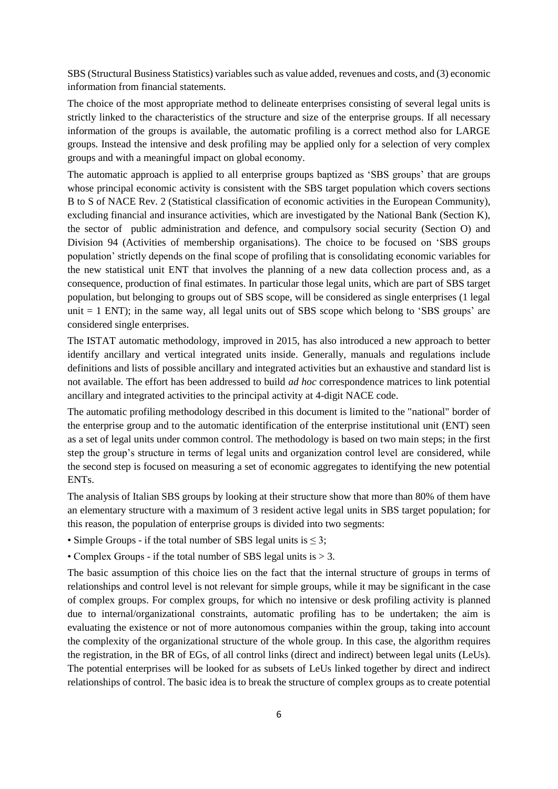SBS (Structural Business Statistics) variables such as value added, revenues and costs, and (3) economic information from financial statements.

The choice of the most appropriate method to delineate enterprises consisting of several legal units is strictly linked to the characteristics of the structure and size of the enterprise groups. If all necessary information of the groups is available, the automatic profiling is a correct method also for LARGE groups. Instead the intensive and desk profiling may be applied only for a selection of very complex groups and with a meaningful impact on global economy.

The automatic approach is applied to all enterprise groups baptized as 'SBS groups' that are groups whose principal economic activity is consistent with the SBS target population which covers sections B to S of NACE Rev. 2 (Statistical classification of economic activities in the European Community), excluding financial and insurance activities, which are investigated by the National Bank (Section K), the sector of public administration and defence, and compulsory social security (Section O) and Division 94 (Activities of membership organisations). The choice to be focused on 'SBS groups population' strictly depends on the final scope of profiling that is consolidating economic variables for the new statistical unit ENT that involves the planning of a new data collection process and, as a consequence, production of final estimates. In particular those legal units, which are part of SBS target population, but belonging to groups out of SBS scope, will be considered as single enterprises (1 legal unit  $= 1$  ENT); in the same way, all legal units out of SBS scope which belong to 'SBS groups' are considered single enterprises.

The ISTAT automatic methodology, improved in 2015, has also introduced a new approach to better identify ancillary and vertical integrated units inside. Generally, manuals and regulations include definitions and lists of possible ancillary and integrated activities but an exhaustive and standard list is not available. The effort has been addressed to build *ad hoc* correspondence matrices to link potential ancillary and integrated activities to the principal activity at 4-digit NACE code.

The automatic profiling methodology described in this document is limited to the "national" border of the enterprise group and to the automatic identification of the enterprise institutional unit (ENT) seen as a set of legal units under common control. The methodology is based on two main steps; in the first step the group's structure in terms of legal units and organization control level are considered, while the second step is focused on measuring a set of economic aggregates to identifying the new potential ENTs.

The analysis of Italian SBS groups by looking at their structure show that more than 80% of them have an elementary structure with a maximum of 3 resident active legal units in SBS target population; for this reason, the population of enterprise groups is divided into two segments:

• Simple Groups - if the total number of SBS legal units is  $\leq$  3;

• Complex Groups - if the total number of SBS legal units is > 3.

The basic assumption of this choice lies on the fact that the internal structure of groups in terms of relationships and control level is not relevant for simple groups, while it may be significant in the case of complex groups. For complex groups, for which no intensive or desk profiling activity is planned due to internal/organizational constraints, automatic profiling has to be undertaken; the aim is evaluating the existence or not of more autonomous companies within the group, taking into account the complexity of the organizational structure of the whole group. In this case, the algorithm requires the registration, in the BR of EGs, of all control links (direct and indirect) between legal units (LeUs). The potential enterprises will be looked for as subsets of LeUs linked together by direct and indirect relationships of control. The basic idea is to break the structure of complex groups as to create potential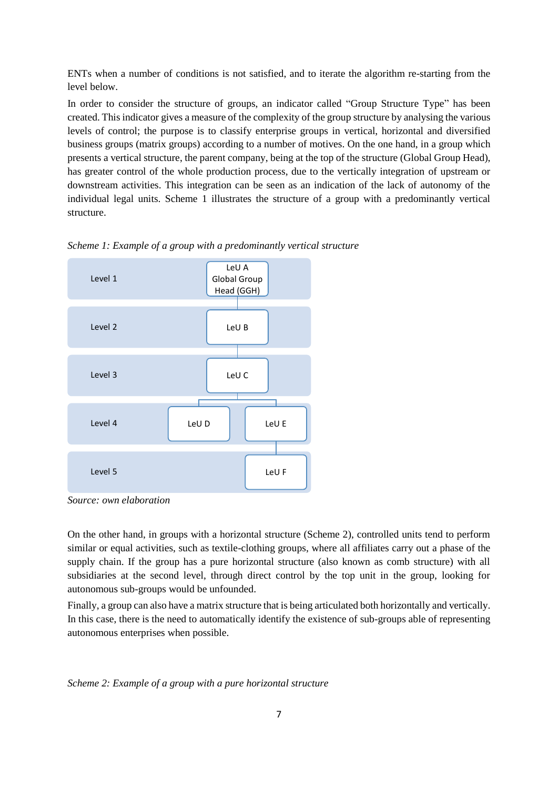ENTs when a number of conditions is not satisfied, and to iterate the algorithm re-starting from the level below.

In order to consider the structure of groups, an indicator called "Group Structure Type" has been created. This indicator gives a measure of the complexity of the group structure by analysing the various levels of control; the purpose is to classify enterprise groups in vertical, horizontal and diversified business groups (matrix groups) according to a number of motives. On the one hand, in a group which presents a vertical structure, the parent company, being at the top of the structure (Global Group Head), has greater control of the whole production process, due to the vertically integration of upstream or downstream activities. This integration can be seen as an indication of the lack of autonomy of the individual legal units. Scheme 1 illustrates the structure of a group with a predominantly vertical structure.



*Scheme 1: Example of a group with a predominantly vertical structure*

*Source: own elaboration*

On the other hand, in groups with a horizontal structure (Scheme 2), controlled units tend to perform similar or equal activities, such as textile-clothing groups, where all affiliates carry out a phase of the supply chain. If the group has a pure horizontal structure (also known as comb structure) with all subsidiaries at the second level, through direct control by the top unit in the group, looking for autonomous sub-groups would be unfounded.

Finally, a group can also have a matrix structure that is being articulated both horizontally and vertically. In this case, there is the need to automatically identify the existence of sub-groups able of representing autonomous enterprises when possible.

*Scheme 2: Example of a group with a pure horizontal structure*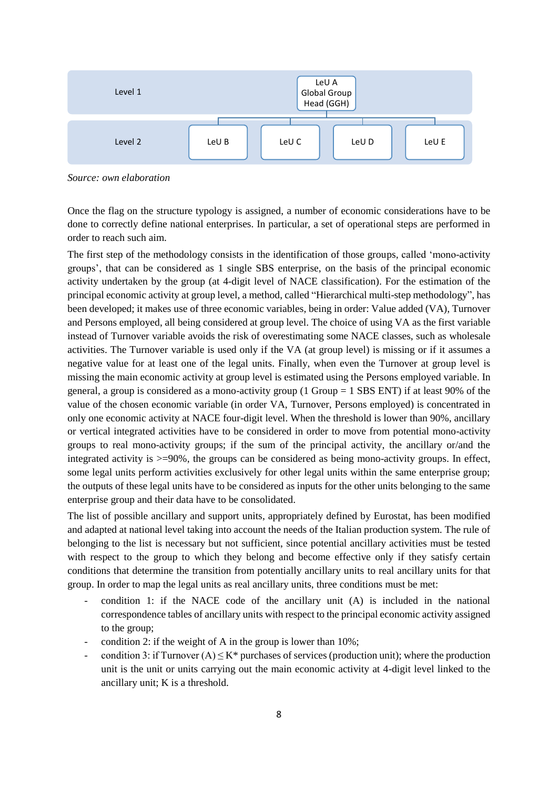

*Source: own elaboration*

Once the flag on the structure typology is assigned, a number of economic considerations have to be done to correctly define national enterprises. In particular, a set of operational steps are performed in order to reach such aim.

The first step of the methodology consists in the identification of those groups, called 'mono-activity groups', that can be considered as 1 single SBS enterprise, on the basis of the principal economic activity undertaken by the group (at 4-digit level of NACE classification). For the estimation of the principal economic activity at group level, a method, called "Hierarchical multi-step methodology", has been developed; it makes use of three economic variables, being in order: Value added (VA), Turnover and Persons employed, all being considered at group level. The choice of using VA as the first variable instead of Turnover variable avoids the risk of overestimating some NACE classes, such as wholesale activities. The Turnover variable is used only if the VA (at group level) is missing or if it assumes a negative value for at least one of the legal units. Finally, when even the Turnover at group level is missing the main economic activity at group level is estimated using the Persons employed variable. In general, a group is considered as a mono-activity group (1 Group = 1 SBS ENT) if at least 90% of the value of the chosen economic variable (in order VA, Turnover, Persons employed) is concentrated in only one economic activity at NACE four-digit level. When the threshold is lower than 90%, ancillary or vertical integrated activities have to be considered in order to move from potential mono-activity groups to real mono-activity groups; if the sum of the principal activity, the ancillary or/and the integrated activity is  $>=$  90%, the groups can be considered as being mono-activity groups. In effect, some legal units perform activities exclusively for other legal units within the same enterprise group; the outputs of these legal units have to be considered as inputs for the other units belonging to the same enterprise group and their data have to be consolidated.

The list of possible ancillary and support units, appropriately defined by Eurostat, has been modified and adapted at national level taking into account the needs of the Italian production system. The rule of belonging to the list is necessary but not sufficient, since potential ancillary activities must be tested with respect to the group to which they belong and become effective only if they satisfy certain conditions that determine the transition from potentially ancillary units to real ancillary units for that group. In order to map the legal units as real ancillary units, three conditions must be met:

- $\alpha$  condition 1: if the NACE code of the ancillary unit (A) is included in the national correspondence tables of ancillary units with respect to the principal economic activity assigned to the group;
- condition 2: if the weight of A in the group is lower than  $10\%$ ;
- condition 3: if Turnover  $(A) \le K^*$  purchases of services (production unit); where the production unit is the unit or units carrying out the main economic activity at 4-digit level linked to the ancillary unit; K is a threshold.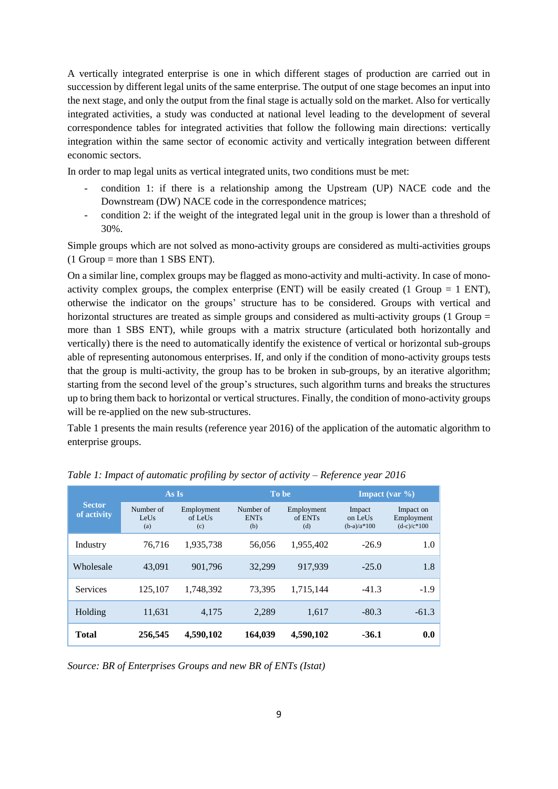A vertically integrated enterprise is one in which different stages of production are carried out in succession by different legal units of the same enterprise. The output of one stage becomes an input into the next stage, and only the output from the final stage is actually sold on the market. Also for vertically integrated activities, a study was conducted at national level leading to the development of several correspondence tables for integrated activities that follow the following main directions: vertically integration within the same sector of economic activity and vertically integration between different economic sectors.

In order to map legal units as vertical integrated units, two conditions must be met:

- condition 1: if there is a relationship among the Upstream (UP) NACE code and the Downstream (DW) NACE code in the correspondence matrices;
- condition 2: if the weight of the integrated legal unit in the group is lower than a threshold of 30%.

Simple groups which are not solved as mono-activity groups are considered as multi-activities groups  $(1 \text{ Group} = \text{more than } 1 \text{ SBS ENT}).$ 

On a similar line, complex groups may be flagged as mono-activity and multi-activity. In case of monoactivity complex groups, the complex enterprise (ENT) will be easily created (1 Group  $= 1$  ENT), otherwise the indicator on the groups' structure has to be considered. Groups with vertical and horizontal structures are treated as simple groups and considered as multi-activity groups (1 Group = more than 1 SBS ENT), while groups with a matrix structure (articulated both horizontally and vertically) there is the need to automatically identify the existence of vertical or horizontal sub-groups able of representing autonomous enterprises. If, and only if the condition of mono-activity groups tests that the group is multi-activity, the group has to be broken in sub-groups, by an iterative algorithm; starting from the second level of the group's structures, such algorithm turns and breaks the structures up to bring them back to horizontal or vertical structures. Finally, the condition of mono-activity groups will be re-applied on the new sub-structures.

Table 1 presents the main results (reference year 2016) of the application of the automatic algorithm to enterprise groups.

| <b>Sector</b><br>of activity | As Is                    |                              | To be                           |                              | <b>Impact</b> (var $\%$ )          |                                          |
|------------------------------|--------------------------|------------------------------|---------------------------------|------------------------------|------------------------------------|------------------------------------------|
|                              | Number of<br>LeUs<br>(a) | Employment<br>of LeUs<br>(c) | Number of<br><b>ENTs</b><br>(b) | Employment<br>of ENTs<br>(d) | Impact<br>on LeUs<br>$(b-a)/a*100$ | Impact on<br>Employment<br>$(d-c)/c*100$ |
| Industry                     | 76.716                   | 1,935,738                    | 56,056                          | 1,955,402                    | $-26.9$                            | 1.0                                      |
| Wholesale                    | 43,091                   | 901,796                      | 32,299                          | 917,939                      | $-25.0$                            | 1.8                                      |
| <b>Services</b>              | 125,107                  | 1,748,392                    | 73,395                          | 1.715.144                    | $-41.3$                            | $-1.9$                                   |
| Holding                      | 11,631                   | 4,175                        | 2,289                           | 1,617                        | $-80.3$                            | $-61.3$                                  |
| <b>Total</b>                 | 256,545                  | 4,590,102                    | 164,039                         | 4,590,102                    | $-36.1$                            | 0.0                                      |

*Table 1: Impact of automatic profiling by sector of activity – Reference year 2016*

*Source: BR of Enterprises Groups and new BR of ENTs (Istat)*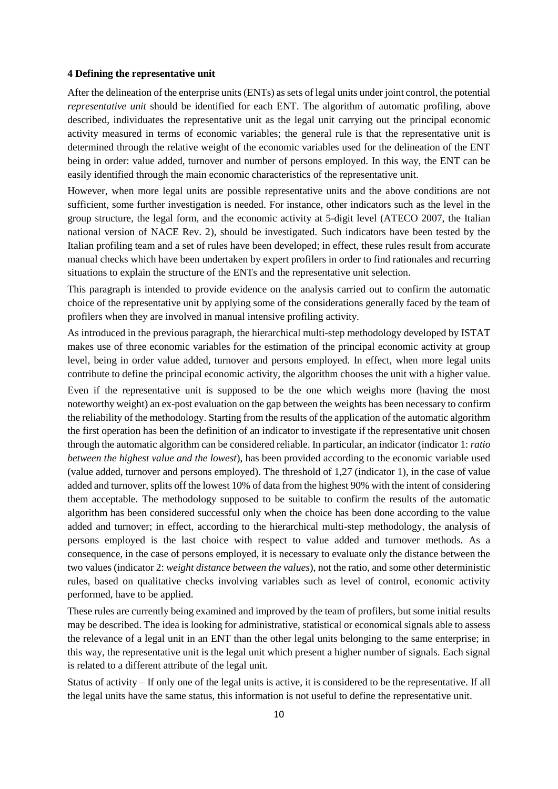### **4 Defining the representative unit**

After the delineation of the enterprise units (ENTs) as sets of legal units under joint control, the potential *representative unit* should be identified for each ENT. The algorithm of automatic profiling, above described, individuates the representative unit as the legal unit carrying out the principal economic activity measured in terms of economic variables; the general rule is that the representative unit is determined through the relative weight of the economic variables used for the delineation of the ENT being in order: value added, turnover and number of persons employed. In this way, the ENT can be easily identified through the main economic characteristics of the representative unit.

However, when more legal units are possible representative units and the above conditions are not sufficient, some further investigation is needed. For instance, other indicators such as the level in the group structure, the legal form, and the economic activity at 5-digit level (ATECO 2007, the Italian national version of NACE Rev. 2), should be investigated. Such indicators have been tested by the Italian profiling team and a set of rules have been developed; in effect, these rules result from accurate manual checks which have been undertaken by expert profilers in order to find rationales and recurring situations to explain the structure of the ENTs and the representative unit selection.

This paragraph is intended to provide evidence on the analysis carried out to confirm the automatic choice of the representative unit by applying some of the considerations generally faced by the team of profilers when they are involved in manual intensive profiling activity.

As introduced in the previous paragraph, the hierarchical multi-step methodology developed by ISTAT makes use of three economic variables for the estimation of the principal economic activity at group level, being in order value added, turnover and persons employed. In effect, when more legal units contribute to define the principal economic activity, the algorithm chooses the unit with a higher value.

Even if the representative unit is supposed to be the one which weighs more (having the most noteworthy weight) an ex-post evaluation on the gap between the weights has been necessary to confirm the reliability of the methodology. Starting from the results of the application of the automatic algorithm the first operation has been the definition of an indicator to investigate if the representative unit chosen through the automatic algorithm can be considered reliable. In particular, an indicator (indicator 1: *ratio between the highest value and the lowest*), has been provided according to the economic variable used (value added, turnover and persons employed). The threshold of 1,27 (indicator 1), in the case of value added and turnover, splits off the lowest 10% of data from the highest 90% with the intent of considering them acceptable. The methodology supposed to be suitable to confirm the results of the automatic algorithm has been considered successful only when the choice has been done according to the value added and turnover; in effect, according to the hierarchical multi-step methodology, the analysis of persons employed is the last choice with respect to value added and turnover methods. As a consequence, in the case of persons employed, it is necessary to evaluate only the distance between the two values (indicator 2: *weight distance between the values*), not the ratio, and some other deterministic rules, based on qualitative checks involving variables such as level of control, economic activity performed, have to be applied.

These rules are currently being examined and improved by the team of profilers, but some initial results may be described. The idea is looking for administrative, statistical or economical signals able to assess the relevance of a legal unit in an ENT than the other legal units belonging to the same enterprise; in this way, the representative unit is the legal unit which present a higher number of signals. Each signal is related to a different attribute of the legal unit.

Status of activity – If only one of the legal units is active, it is considered to be the representative. If all the legal units have the same status, this information is not useful to define the representative unit.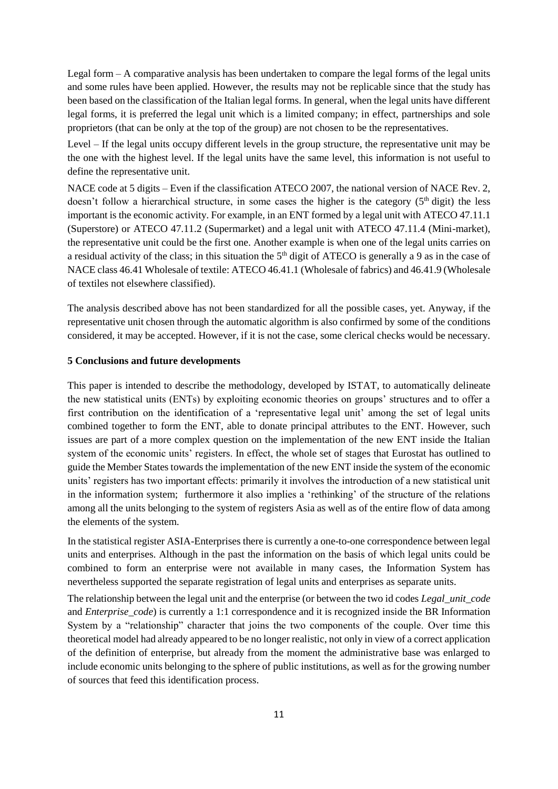Legal form – A comparative analysis has been undertaken to compare the legal forms of the legal units and some rules have been applied. However, the results may not be replicable since that the study has been based on the classification of the Italian legal forms. In general, when the legal units have different legal forms, it is preferred the legal unit which is a limited company; in effect, partnerships and sole proprietors (that can be only at the top of the group) are not chosen to be the representatives.

Level – If the legal units occupy different levels in the group structure, the representative unit may be the one with the highest level. If the legal units have the same level, this information is not useful to define the representative unit.

NACE code at 5 digits – Even if the classification ATECO 2007, the national version of NACE Rev. 2, doesn't follow a hierarchical structure, in some cases the higher is the category  $(5<sup>th</sup>$  digit) the less important is the economic activity. For example, in an ENT formed by a legal unit with ATECO 47.11.1 (Superstore) or ATECO 47.11.2 (Supermarket) and a legal unit with ATECO 47.11.4 (Mini-market), the representative unit could be the first one. Another example is when one of the legal units carries on a residual activity of the class; in this situation the  $5<sup>th</sup>$  digit of ATECO is generally a 9 as in the case of NACE class 46.41 Wholesale of textile: ATECO 46.41.1 (Wholesale of fabrics) and 46.41.9 (Wholesale of textiles not elsewhere classified).

The analysis described above has not been standardized for all the possible cases, yet. Anyway, if the representative unit chosen through the automatic algorithm is also confirmed by some of the conditions considered, it may be accepted. However, if it is not the case, some clerical checks would be necessary.

## **5 Conclusions and future developments**

This paper is intended to describe the methodology, developed by ISTAT, to automatically delineate the new statistical units (ENTs) by exploiting economic theories on groups' structures and to offer a first contribution on the identification of a 'representative legal unit' among the set of legal units combined together to form the ENT, able to donate principal attributes to the ENT. However, such issues are part of a more complex question on the implementation of the new ENT inside the Italian system of the economic units' registers. In effect, the whole set of stages that Eurostat has outlined to guide the Member States towards the implementation of the new ENT inside the system of the economic units' registers has two important effects: primarily it involves the introduction of a new statistical unit in the information system; furthermore it also implies a 'rethinking' of the structure of the relations among all the units belonging to the system of registers Asia as well as of the entire flow of data among the elements of the system.

In the statistical register ASIA-Enterprises there is currently a one-to-one correspondence between legal units and enterprises. Although in the past the information on the basis of which legal units could be combined to form an enterprise were not available in many cases, the Information System has nevertheless supported the separate registration of legal units and enterprises as separate units.

The relationship between the legal unit and the enterprise (or between the two id codes *Legal\_unit\_code* and *Enterprise code*) is currently a 1:1 correspondence and it is recognized inside the BR Information System by a "relationship" character that joins the two components of the couple. Over time this theoretical model had already appeared to be no longer realistic, not only in view of a correct application of the definition of enterprise, but already from the moment the administrative base was enlarged to include economic units belonging to the sphere of public institutions, as well as for the growing number of sources that feed this identification process.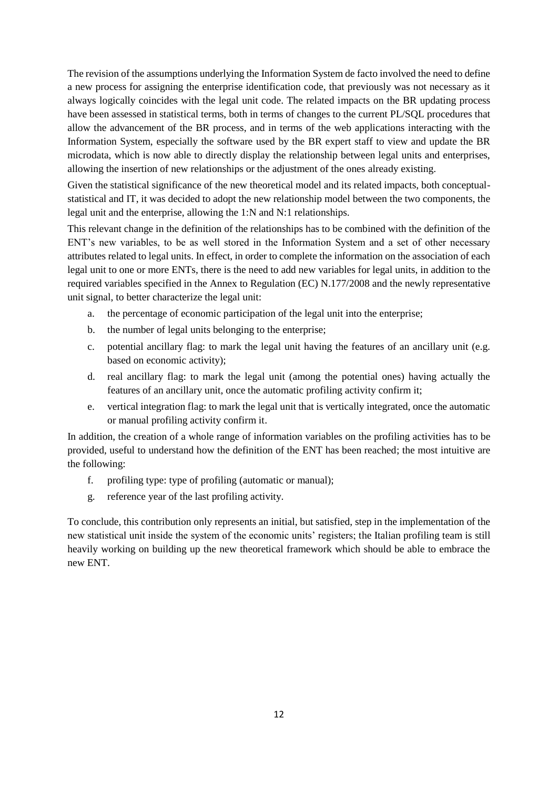The revision of the assumptions underlying the Information System de facto involved the need to define a new process for assigning the enterprise identification code, that previously was not necessary as it always logically coincides with the legal unit code. The related impacts on the BR updating process have been assessed in statistical terms, both in terms of changes to the current PL/SQL procedures that allow the advancement of the BR process, and in terms of the web applications interacting with the Information System, especially the software used by the BR expert staff to view and update the BR microdata, which is now able to directly display the relationship between legal units and enterprises, allowing the insertion of new relationships or the adjustment of the ones already existing.

Given the statistical significance of the new theoretical model and its related impacts, both conceptualstatistical and IT, it was decided to adopt the new relationship model between the two components, the legal unit and the enterprise, allowing the 1:N and N:1 relationships.

This relevant change in the definition of the relationships has to be combined with the definition of the ENT's new variables, to be as well stored in the Information System and a set of other necessary attributes related to legal units. In effect, in order to complete the information on the association of each legal unit to one or more ENTs, there is the need to add new variables for legal units, in addition to the required variables specified in the Annex to Regulation (EC) N.177/2008 and the newly representative unit signal, to better characterize the legal unit:

- a. the percentage of economic participation of the legal unit into the enterprise;
- b. the number of legal units belonging to the enterprise;
- c. potential ancillary flag: to mark the legal unit having the features of an ancillary unit (e.g. based on economic activity);
- d. real ancillary flag: to mark the legal unit (among the potential ones) having actually the features of an ancillary unit, once the automatic profiling activity confirm it;
- e. vertical integration flag: to mark the legal unit that is vertically integrated, once the automatic or manual profiling activity confirm it.

In addition, the creation of a whole range of information variables on the profiling activities has to be provided, useful to understand how the definition of the ENT has been reached; the most intuitive are the following:

- f. profiling type: type of profiling (automatic or manual);
- g. reference year of the last profiling activity.

To conclude, this contribution only represents an initial, but satisfied, step in the implementation of the new statistical unit inside the system of the economic units' registers; the Italian profiling team is still heavily working on building up the new theoretical framework which should be able to embrace the new ENT.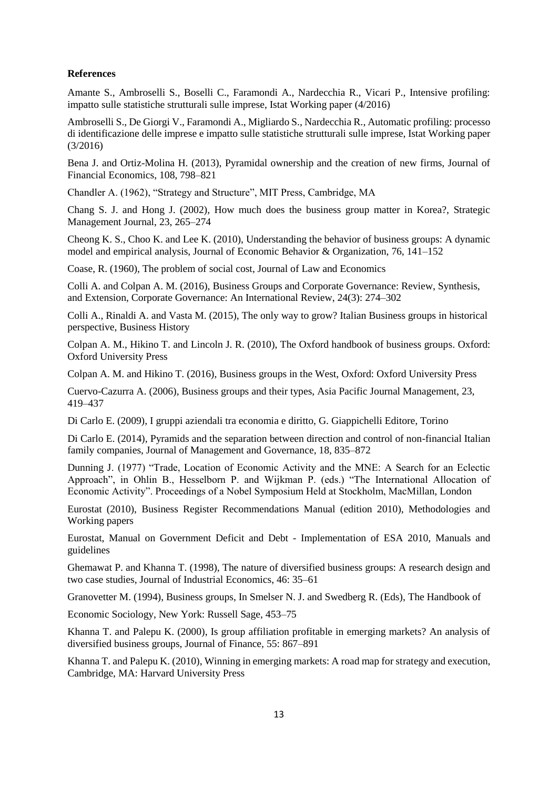### **References**

Amante S., Ambroselli S., Boselli C., Faramondi A., Nardecchia R., Vicari P., Intensive profiling: impatto sulle statistiche strutturali sulle imprese, Istat Working paper (4/2016)

Ambroselli S., De Giorgi V., Faramondi A., Migliardo S., Nardecchia R., Automatic profiling: processo di identificazione delle imprese e impatto sulle statistiche strutturali sulle imprese, Istat Working paper (3/2016)

Bena J. and Ortiz-Molina H. (2013), Pyramidal ownership and the creation of new firms, Journal of Financial Economics, 108, 798–821

Chandler A. (1962), "Strategy and Structure", MIT Press, Cambridge, MA

Chang S. J. and Hong J. (2002), How much does the business group matter in Korea?, Strategic Management Journal, 23, 265–274

Cheong K. S., Choo K. and Lee K. (2010), Understanding the behavior of business groups: A dynamic model and empirical analysis, Journal of Economic Behavior & Organization, 76, 141–152

Coase, R. (1960), The problem of social cost, Journal of Law and Economics

Colli A. and Colpan A. M. (2016), Business Groups and Corporate Governance: Review, Synthesis, and Extension, Corporate Governance: An International Review, 24(3): 274–302

Colli A., Rinaldi A. and Vasta M. (2015), The only way to grow? Italian Business groups in historical perspective, Business History

Colpan A. M., Hikino T. and Lincoln J. R. (2010), The Oxford handbook of business groups. Oxford: Oxford University Press

Colpan A. M. and Hikino T. (2016), Business groups in the West, Oxford: Oxford University Press

Cuervo-Cazurra A. (2006), Business groups and their types, Asia Pacific Journal Management, 23, 419–437

Di Carlo E. (2009), I gruppi aziendali tra economia e diritto, G. Giappichelli Editore, Torino

Di Carlo E. (2014), Pyramids and the separation between direction and control of non-financial Italian family companies, Journal of Management and Governance, 18, 835–872

Dunning J. (1977) "Trade, Location of Economic Activity and the MNE: A Search for an Eclectic Approach", in Ohlin B., Hesselborn P. and Wijkman P. (eds.) "The International Allocation of Economic Activity". Proceedings of a Nobel Symposium Held at Stockholm, MacMillan, London

Eurostat (2010), Business Register Recommendations Manual (edition 2010), Methodologies and Working papers

Eurostat, Manual on Government Deficit and Debt - Implementation of ESA 2010, Manuals and guidelines

Ghemawat P. and Khanna T. (1998), The nature of diversified business groups: A research design and two case studies, Journal of Industrial Economics, 46: 35–61

Granovetter M. (1994), Business groups, In Smelser N. J. and Swedberg R. (Eds), The Handbook of

Economic Sociology, New York: Russell Sage, 453–75

Khanna T. and Palepu K. (2000), Is group affiliation profitable in emerging markets? An analysis of diversified business groups, Journal of Finance, 55: 867–891

Khanna T. and Palepu K. (2010), Winning in emerging markets: A road map for strategy and execution, Cambridge, MA: Harvard University Press